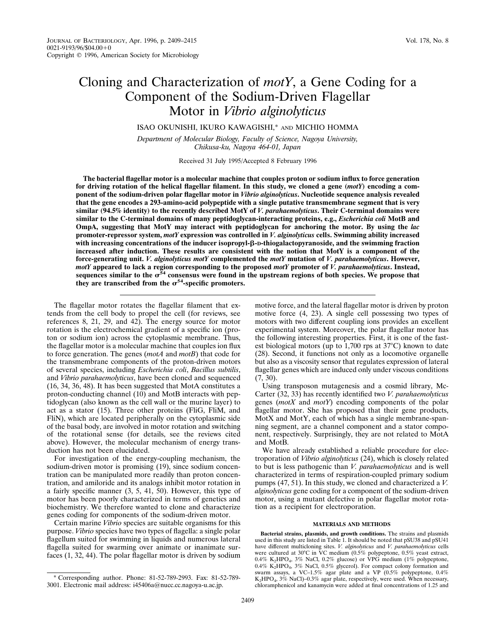# Cloning and Characterization of *motY*, a Gene Coding for a Component of the Sodium-Driven Flagellar Motor in *Vibrio alginolyticus*

ISAO OKUNISHI, IKURO KAWAGISHI,\* AND MICHIO HOMMA

*Department of Molecular Biology, Faculty of Science, Nagoya University, Chikusa-ku, Nagoya 464-01, Japan*

Received 31 July 1995/Accepted 8 February 1996

**The bacterial flagellar motor is a molecular machine that couples proton or sodium influx to force generation for driving rotation of the helical flagellar filament. In this study, we cloned a gene (***motY***) encoding a component of the sodium-driven polar flagellar motor in** *Vibrio alginolyticus***. Nucleotide sequence analysis revealed that the gene encodes a 293-amino-acid polypeptide with a single putative transmembrane segment that is very similar (94.5% identity) to the recently described MotY of** *V. parahaemolyticus***. Their C-terminal domains were similar to the C-terminal domains of many peptidoglycan-interacting proteins, e.g.,** *Escherichia coli* **MotB and OmpA, suggesting that MotY may interact with peptidoglycan for anchoring the motor. By using the** *lac* **promoter-repressor system,** *motY* **expression was controlled in** *V. alginolyticus* **cells. Swimming ability increased with increasing concentrations of the inducer isopropyl-**b**-D-thiogalactopyranoside, and the swimming fraction increased after induction. These results are consistent with the notion that MotY is a component of the force-generating unit.** *V. alginolyticus motY* **complemented the** *motY* **mutation of** *V. parahaemolyticus***. However,** *motY* **appeared to lack a region corresponding to the proposed** *motY* **promoter of** *V. parahaemolyticus***. Instead,** sequences similar to the  $\sigma^{54}$  consensus were found in the upstream regions of both species. We propose that they are transcribed from the  $\sigma^{54}$ -specific promoters.

The flagellar motor rotates the flagellar filament that extends from the cell body to propel the cell (for reviews, see references 8, 21, 29, and 42). The energy source for motor rotation is the electrochemical gradient of a specific ion (proton or sodium ion) across the cytoplasmic membrane. Thus, the flagellar motor is a molecular machine that couples ion flux to force generation. The genes (*motA* and *motB*) that code for the transmembrane components of the proton-driven motors of several species, including *Escherichia coli*, *Bacillus subtilis*, and *Vibrio parahaemolyticus*, have been cloned and sequenced (16, 34, 36, 48). It has been suggested that MotA constitutes a proton-conducting channel (10) and MotB interacts with peptidoglycan (also known as the cell wall or the murine layer) to act as a stator (15). Three other proteins (FliG, FliM, and FliN), which are located peripherally on the cytoplasmic side of the basal body, are involved in motor rotation and switching of the rotational sense (for details, see the reviews cited above). However, the molecular mechanism of energy transduction has not been elucidated.

For investigation of the energy-coupling mechanism, the sodium-driven motor is promising (19), since sodium concentration can be manipulated more readily than proton concentration, and amiloride and its analogs inhibit motor rotation in a fairly specific manner (3, 5, 41, 50). However, this type of motor has been poorly characterized in terms of genetics and biochemistry. We therefore wanted to clone and characterize genes coding for components of the sodium-driven motor.

Certain marine *Vibrio* species are suitable organisms for this purpose. *Vibrio* species have two types of flagella: a single polar flagellum suited for swimming in liquids and numerous lateral flagella suited for swarming over animate or inanimate surfaces (1, 32, 44). The polar flagellar motor is driven by sodium

motive force, and the lateral flagellar motor is driven by proton motive force (4, 23). A single cell possessing two types of motors with two different coupling ions provides an excellent experimental system. Moreover, the polar flagellar motor has the following interesting properties. First, it is one of the fastest biological motors (up to  $1,700$  rps at  $37^{\circ}$ C) known to date (28). Second, it functions not only as a locomotive organelle but also as a viscosity sensor that regulates expression of lateral flagellar genes which are induced only under viscous conditions (7, 30).

Using transposon mutagenesis and a cosmid library, Mc-Carter (32, 33) has recently identified two *V. parahaemolyticus* genes (*motX* and *motY*) encoding components of the polar flagellar motor. She has proposed that their gene products, MotX and MotY, each of which has a single membrane-spanning segment, are a channel component and a stator component, respectively. Surprisingly, they are not related to MotA and MotB.

We have already established a reliable procedure for electroporation of *Vibrio alginolyticus* (24), which is closely related to but is less pathogenic than *V. parahaemolyticus* and is well characterized in terms of respiration-coupled primary sodium pumps (47, 51). In this study, we cloned and characterized a *V. alginolyticus* gene coding for a component of the sodium-driven motor, using a mutant defective in polar flagellar motor rotation as a recipient for electroporation.

### **MATERIALS AND METHODS**

**Bacterial strains, plasmids, and growth conditions.** The strains and plasmids used in this study are listed in Table 1. It should be noted that pSU38 and pSU41 have different multicloning sites. *V. alginolyticus* and *V. parahaemolyticus* cells<br>were cultured at 30°C in VC medium (0.5% polypeptone, 0.5% yeast extract,  $0.4\%$  K<sub>2</sub>HPO<sub>4</sub>, 3% NaCl, 0.2% glucose) or VPG medium (1% polypeptone, 0.4% K<sub>2</sub>HPO<sub>4</sub>, 3% NaCl, 0.5% glycerol). For compact colony formation and swarm assays, a VC–1.5% agar plate and a VP (0.5% polypeptone, 0.4%<br>K<sub>2</sub>HPO<sub>4</sub>, 3% NaCl)–0.3% agar plate, respectively, were used. When necessary, chloramphenicol and kanamycin were added at final concentrations of 1.25 and

<sup>\*</sup> Corresponding author. Phone: 81-52-789-2993. Fax: 81-52-789- 3001. Electronic mail address: i45406a@nucc.cc.nagoya-u.ac.jp.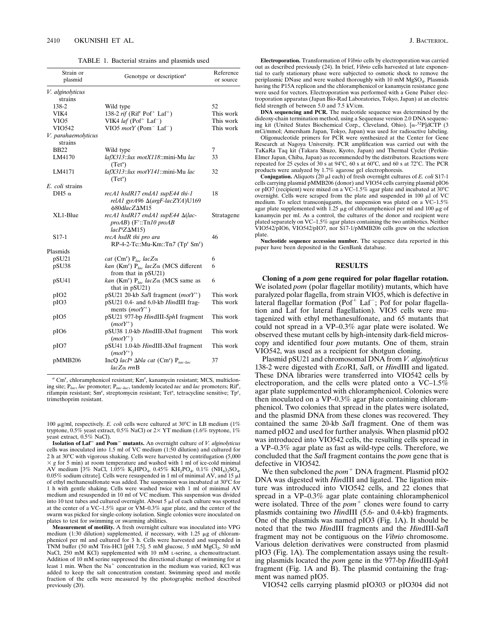TABLE 1. Bacterial strains and plasmids used

| Strain or<br>plasmid           | Genotype or description <sup>a</sup>                                                                | Reference<br>or source |
|--------------------------------|-----------------------------------------------------------------------------------------------------|------------------------|
| V. alginolyticus               |                                                                                                     |                        |
| strains                        |                                                                                                     |                        |
| 138-2                          | Wild type                                                                                           | 52                     |
| VIK4                           | 138-2 <i>rif</i> (Rif <sup>r</sup> Pof <sup>+</sup> Laf <sup>+</sup> )                              | This work              |
| VIO5                           | VIK4 <i>laf</i> (Pof <sup>+</sup> Laf <sup>-</sup> )                                                | This work              |
| VIO542                         | VIO5 $motY$ (Pom <sup>-</sup> Laf <sup>-</sup> )                                                    | This work              |
| V. parahaemolyticus<br>strains |                                                                                                     |                        |
| <b>BB22</b>                    | Wild type                                                                                           | 7                      |
| LM4170                         | lafX313::lux motX118::mini-Mu lac<br>$(Tet^s)$                                                      | 33                     |
| LM4171                         | lafX313::lux motY141::mini-Mu lac<br>$(Tet^s)$                                                      | 32                     |
| E. coli strains                |                                                                                                     |                        |
| DH5 $\alpha$                   | recA1 hsdR17 endA1 supE44 thi-1<br>relA1 gyrA96 $\Delta$ (argF-lacZYA)U169<br>φ80dlacZΔM15          | 18                     |
| XL1-Blue                       | recA1 hsdR17 endA1 supE44 ∆(lac-<br>$proAB)$ (F'::Tn10 proAB<br>$lacIqZ\Delta M15$                  | Stratagene             |
| S <sub>17</sub> -1             | recA hsdR thi pro ara<br>$RP-4-2-Tc::Mu-Km::Tn7 (Tpr Smr)$                                          | 46                     |
| Plasmids                       |                                                                                                     |                        |
| pSU21                          | cat (Cm <sup>r</sup> ) $P_{lac}$ lacZ $\alpha$                                                      | 6                      |
| pSU38                          | kan (Km <sup>r</sup> ) P <sub>lac</sub> lacZ $\alpha$ (MCS different<br>from that in pSU21)         | 6                      |
| pSU41                          | kan (Km <sup>r</sup> ) P <sub>lac</sub> lacZ $\alpha$ (MCS same as<br>that in $pSU(21)$             | 6                      |
| pIO <sub>2</sub>               | pSU21 20-kb SalI fragment ( $motY^+$ )                                                              | This work              |
| pIO3                           | pSU21 0.4- and 6.0-kb HindIII frag-<br>ments $(motY^+)$                                             | This work              |
| pIO5                           | pSU21 977-bp HindIII-SphI fragment<br>$(motY^+)$                                                    | This work              |
| pIO <sub>6</sub>               | pSU38 1.0-kb HindIII-XbaI fragment<br>$(motY^+)$                                                    | This work              |
| pIO7                           | pSU41 1.0-kb HindIII-XbaI fragment<br>$(motY^+)$                                                    | This work              |
| pMMB206                        | IncQ lacI <sup>q</sup> $\Delta bla$ cat (Cm <sup>r</sup> ) P <sub>tac-lac</sub><br>$lacZ\alpha$ rmB | 37                     |

a Cm<sup>r</sup>, chloramphenicol resistant; Km<sup>r</sup>, kanamycin resistant; MCS, multicloning site; P*lac*, *lac* promoter; P*tac-lac*, tandemly located *tac* and *lac* promoters; Rif<sup>r</sup> , rifampin resistant; Sm<sup>r</sup>, streptomycin resistant; Tet<sup>s</sup>, tetracycline sensitive; Tp<sup>r</sup>, trimethoprim resistant.

100  $\mu$ g/ml, respectively. *E. coli* cells were cultured at 30°C in LB medium (1%) tryptone,  $0.5\%$  yeast extract,  $0.5\%$  NaCl) or  $2\times$  YT medium (1.6% tryptone,  $1\%$ yeast extract, 0.5% NaCl).

**Isolation of Laf**<sup>2</sup> **and Pom**<sup>2</sup> **mutants.** An overnight culture of *V. alginolyticus* cells was inoculated into 1.5 ml of VC medium (1:50 dilution) and cultured for 2 h at  $30^{\circ}$ C with vigorous shaking. Cells were harvested by centrifugation (5,000  $\times g$  for 5 min) at room temperature and washed with 1 ml of ice-cold minimal AV medium [3% NaCl, 1.05% K<sub>2</sub>HPO<sub>4</sub>, 0.45% KH<sub>2</sub>PO<sub>4</sub>, 0.1% (NH<sub>4</sub>)<sub>2</sub>SO<sub>4</sub>,  $0.05\%$  sodium citrate]. Cells were resuspended in 1 ml of minimal AV, and 15  $\mu$ l of ethyl methanesulfonate was added. The suspension was incubated at  $30^{\circ}$ C for 1 h with gentle shaking. Cells were washed twice with 1 ml of minimal AV medium and resuspended in 10 ml of VC medium. This suspension was divided into 10 test tubes and cultured overnight. About 5  $\mu$ l of each culture was spotted at the center of a VC–1.5% agar or VM–0.3% agar plate, and the center of the swarm was picked for single-colony isolation. Single colonies were inoculated on plates to test for swimming or swarming abilities.

**Measurement of motility.** A fresh overnight culture was inoculated into VPG medium (1:30 dilution) supplemented, if necessary, with 1.25  $\mu$ g of chloramphenicol per ml and cultured for 3 h. Cells were harvested and suspended in TNM buffer (50 mM Tris-HCl [pH 7.5], 5 mM glucose, 5 mM MgCl<sub>2</sub>, 50 mM<br>NaCl, 250 mM KCl) supplemented with 10 mM 1-serine, a chemoattractant. Addition of 10 mM serine suppressed the directional change of swimming for at least 1 min. When the Na<sup>+</sup> concentration in the medium was varied, KCl was added to keep the salt concentration constant. Swimming speed and motile fraction of the cells were measured by the photographic method described previously (20).

**Electroporation.** Transformation of *Vibrio* cells by electroporation was carried out as described previously (24). In brief, *Vibrio* cells harvested at late exponential to early stationary phase were subjected to osmotic shock to remove the periplasmic DNase and were washed thoroughly with 10 mM MgSO<sub>4</sub>. Plasmids having the P15A replicon and the chloramphenicol or kanamycin resistance gene were used for vectors. Electroporation was performed with a Gene Pulser electroporation apparatus (Japan Bio-Rad Laboratories, Tokyo, Japan) at an electric field strength of between 5.0 and 7.5 kV/cm.

**DNA sequencing and PCR.** The nucleotide sequence was determined by the dideoxy-chain termination method, using a Sequenase version 2.0 DNA sequencing kit (United States Biochemical Corp., Cleveland, Ohio). [a-32P]dCTP (3 mCi/mmol; Amersham Japan, Tokyo, Japan) was used for radioactive labeling.

Oligonucleotide primers for PCR were synthesized at the Center for Gene Research at Nagoya University. PCR amplification was carried out with the TaKaRa Taq kit (Takara Shuzo, Kyoto, Japan) and Thermal Cycler (Perkin-Elmer Japan, Chiba, Japan) as recommended by the distributors. Reactions were repeated for 25 cycles of 30 s at 94 $^{\circ}$ C, 60 s at 60 $^{\circ}$ C, and 60 s at 72 $^{\circ}$ C. The PCR products were analyzed by 1.7% agarose gel electrophoresis.

**Conjugation.** Aliquots (20 μl each) of fresh overnight cultures of *E. coli* S17-1 cells carrying plasmid pMMB206 (donor) and VIO54 cells carrying plasmid pIO6 or pIO7 (recipient) were mixed on a VC-1.5% agar plate and incubated at  $30^{\circ}$ C overnight. Cells were scraped from the plate and suspended in 100  $\mu$ l of VC medium. To select transconjugants, the suspension was plated on a VC–1.5% agar plate supplemented with 1.25  $\mu$ g of chloramphenicol per ml and 100  $\mu$ g of kanamycin per ml. As a control, the cultures of the donor and recipient were plated separately on VC–1.5% agar plates containing the two antibiotics. Neither VIO542/pIO6, VIO542/pIO7, nor  $\hat{S}$ 17-1/pMMB206 cells grew on the selection plate.

**Nucleotide sequence accession number.** The sequence data reported in this paper have been deposited in the GenBank database.

## **RESULTS**

**Cloning of a** *pom* **gene required for polar flagellar rotation.** We isolated *pom* (polar flagellar motility) mutants, which have paralyzed polar flagella, from strain VIO5, which is defective in<br>lateral flagellar formation (Pof<sup>+</sup> Laf<sup>-</sup>; Pof for polar flagellation and Laf for lateral flagellation). VIO5 cells were mutagenized with ethyl methanesulfonate, and 65 mutants that could not spread in a VP–0.3% agar plate were isolated. We observed these mutant cells by high-intensity dark-field microscopy and identified four *pom* mutants. One of them, strain VIO542, was used as a recipient for shotgun cloning.

Plasmid pSU21 and chromosomal DNA from *V. alginolyticus* 138-2 were digested with *Eco*RI, *Sal*I, or *Hin*dIII and ligated. These DNA libraries were transferred into VIO542 cells by electroporation, and the cells were plated onto a VC–1.5% agar plate supplemented with chloramphenicol. Colonies were then inoculated on a VP–0.3% agar plate containing chloramphenicol. Two colonies that spread in the plates were isolated, and the plasmid DNA from these clones was recovered. They contained the same 20-kb *Sal*I fragment. One of them was named pIO2 and used for further analysis. When plasmid pIO2 was introduced into VIO542 cells, the resulting cells spread in a VP–0.3% agar plate as fast as wild-type cells. Therefore, we concluded that the *Sal*I fragment contains the *pom* gene that is defective in VIO542.

We then subcloned the *pom*<sup>+</sup> DNA fragment. Plasmid pIO2 DNA was digested with *Hin*dIII and ligated. The ligation mixture was introduced into VIO542 cells, and 22 clones that spread in a VP–0.3% agar plate containing chloramphenicol were isolated. Three of the *pom*<sup>+</sup> clones were found to carry plasmids containing two *Hin*dIII (5.6- and 0.4-kb) fragments. One of the plasmids was named pIO3 (Fig. 1A). It should be noted that the two *Hin*dIII fragments and the *Hin*dIII-*Sal*I fragment may not be contiguous on the *Vibrio* chromosome. Various deletion derivatives were constructed from plasmid pIO3 (Fig. 1A). The complementation assays using the resulting plasmids located the *pom* gene in the 977-bp *Hin*dIII-*Sph*I fragment (Fig. 1A and B). The plasmid containing the fragment was named pIO5.

VIO542 cells carrying plasmid pIO303 or pIO304 did not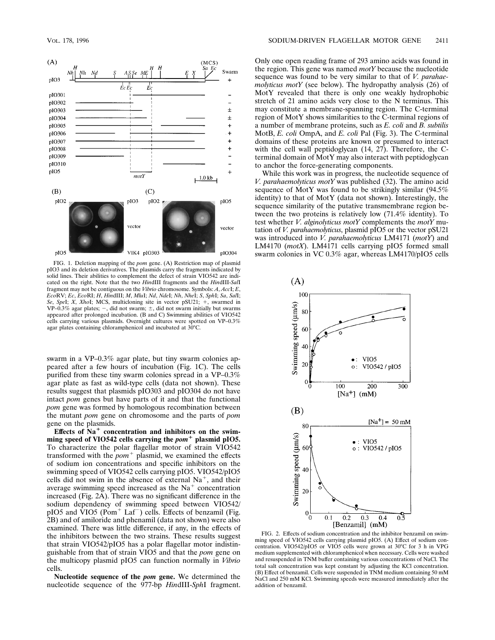

FIG. 1. Deletion mapping of the *pom* gene. (A) Restriction map of plasmid pIO3 and its deletion derivatives. The plasmids carry the fragments indicated by solid lines. Their abilities to complement the defect of strain VIO542 are indicated on the right. Note that the two *Hin*dIII fragments and the *Hin*dIII-*Sal*I fragment may not be contiguous on the *Vibrio* chromosome. Symbols: *A*, *Acc*I; *E*, *Eco*RV; *Ec*, *Eco*RI; *H*, *Hin*dIII; *M*, *Mlu*I; *Nd*, *Nde*I; *Nh*, *Nhe*I; *S*, *Sph*I; *Sa*, *Sal*I; *Se*, *SpeI*; *X*, *XhoI*; MCS, multicloning site in vector pSU21; +, swarmed in VP–0.3% agar plates;  $-$ , did not swarm;  $\pm$ , did not swarm initially but swarms appeared after prolonged incubation. (B and C) Swimming abilities of VIO542 cells carrying various plasmids. Overnight cultures were spotted on VP–0.3% agar plates containing chloramphenicol and incubated at  $30^{\circ}$ C.

swarm in a VP–0.3% agar plate, but tiny swarm colonies appeared after a few hours of incubation (Fig. 1C). The cells purified from these tiny swarm colonies spread in a VP–0.3% agar plate as fast as wild-type cells (data not shown). These results suggest that plasmids pIO303 and pIO304 do not have intact *pom* genes but have parts of it and that the functional *pom* gene was formed by homologous recombination between the mutant *pom* gene on chromosome and the parts of *pom* gene on the plasmids.

Effects of Na<sup>+</sup> concentration and inhibitors on the swimming speed of VIO542 cells carrying the  $\text{pom}^+$  plasmid pIO5. To characterize the polar flagellar motor of strain VIO542 transformed with the  $pom$ <sup>+</sup> plasmid, we examined the effects of sodium ion concentrations and specific inhibitors on the swimming speed of VIO542 cells carrying pIO5. VIO542/pIO5 cells did not swim in the absence of external  $Na<sup>+</sup>$ , and their average swimming speed increased as the  $Na<sup>+</sup>$  concentration increased (Fig. 2A). There was no significant difference in the sodium dependency of swimming speed between VIO542/ pIO5 and  $\overline{V}$ IO5 (Pom<sup>+</sup> Laf<sup>-</sup>) cells. Effects of benzamil (Fig. 2B) and of amiloride and phenamil (data not shown) were also examined. There was little difference, if any, in the effects of the inhibitors between the two strains. These results suggest that strain VIO542/pIO5 has a polar flagellar motor indistinguishable from that of strain VIO5 and that the *pom* gene on the multicopy plasmid pIO5 can function normally in *Vibrio* cells.

**Nucleotide sequence of the** *pom* **gene.** We determined the nucleotide sequence of the 977-bp *Hin*dIII-*Sph*I fragment.

Only one open reading frame of 293 amino acids was found in the region. This gene was named *motY* because the nucleotide sequence was found to be very similar to that of *V. parahaemolyticus motY* (see below). The hydropathy analysis (26) of MotY revealed that there is only one weakly hydrophobic stretch of 21 amino acids very close to the N terminus. This may constitute a membrane-spanning region. The C-terminal region of MotY shows similarities to the C-terminal regions of a number of membrane proteins, such as *E. coli* and *B. subtilis* MotB, *E. coli* OmpA, and *E. coli* Pal (Fig. 3). The C-terminal domains of these proteins are known or presumed to interact with the cell wall peptidoglycan (14, 27). Therefore, the Cterminal domain of MotY may also interact with peptidoglycan to anchor the force-generating components.

While this work was in progress, the nucleotide sequence of *V. parahaemolyticus motY* was published (32). The amino acid sequence of MotY was found to be strikingly similar (94.5% identity) to that of MotY (data not shown). Interestingly, the sequence similarity of the putative transmembrane region between the two proteins is relatively low (71.4% identity). To test whether *V. alginolyticus motY* complements the *motY* mutation of *V. parahaemolyticus*, plasmid pIO5 or the vector pSU21 was introduced into *V. parahaemolyticus* LM4171 (*motY*) and LM4170 (*motX*). LM4171 cells carrying pIO5 formed small swarm colonies in VC 0.3% agar, whereas LM4170/pIO5 cells



FIG. 2. Effects of sodium concentration and the inhibitor benzamil on swimming speed of VIO542 cells carrying plasmid pIO5. (A) Effect of sodium concentration. VIO542/pIO5 or VIO5 cells were grown at  $30^{\circ}$ C for 3 h in VPG medium supplemented with chloramphenicol when necessary. Cells were washed and resuspended in TNM buffer containing various concentrations of NaCl. The total salt concentration was kept constant by adjusting the KCl concentration. (B) Effect of benzamil. Cells were suspended in TNM medium containing 50 mM NaCl and 250 mM KCl. Swimming speeds were measured immediately after the addition of benzamil.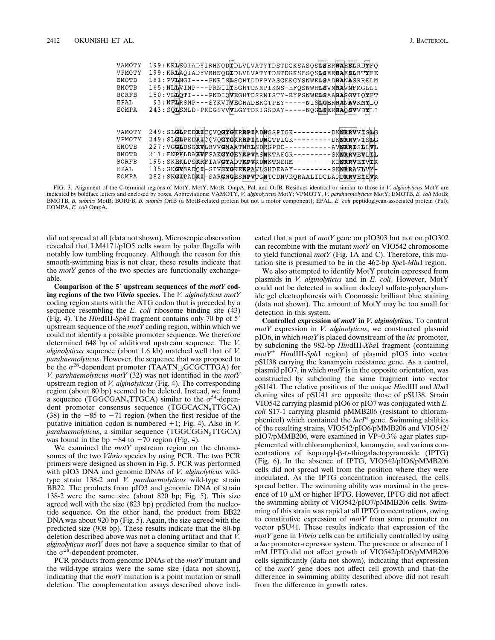| VAMOTY       |                                      | 199: KRLSOIADYIRHNODIDLVLVATYTDSTDGKSASOSLSERRAESLRDYFO |                     |
|--------------|--------------------------------------|---------------------------------------------------------|---------------------|
| VPMOTY       |                                      | 199: KRLAOIADYVRHNODIDLVLVATYTDSTDGKSESOSLSERRAESLRTYFE |                     |
| EMOTB        |                                      | 181: PVLNGI----PNRISLSGHTDDFPYASGEKGYSNWELSADRANASRRELM |                     |
| BMOTB        |                                      | 165: NLLVINP---PRNIIISGHTDNMPIKNS-EFOSNWHLSVMRAVNFMGELI |                     |
| BORFB        |                                      | 150: VLLOTI----PNDIOVEGHTDSRNISTY-RYPSNWELSAARASGVIOYFT |                     |
| EPAL         |                                      | 93: NFLRSNP---SYKVTVEGHADERGTPEY-----NISLGERRANAVKMYLO  |                     |
| EOMPA        |                                      | 243: SOLSNLD-PKDGSVVVLGYTDRIGSDAY-----NOGLSERRAOSVVDYLI |                     |
|              |                                      |                                                         |                     |
|              |                                      |                                                         |                     |
| VAMOTY       |                                      | 249: SLGLPEDRICOVOGYGKRRPIADNGSPIGK---------DKNRRVVISLG |                     |
| VPMOTY       |                                      | 249: SLGLPEDRICOVOGYGKRRPIADNGTPIGK---------DKNRRVVISLG |                     |
| EMOTB        | 227: VGGLDSGKVLRVVGMAATMRLSDRGPDD--  |                                                         | -AVNRRISLLVL        |
| BMOTB        | 211: ENPKLDAKVFSAKGYGEYKPVASNKTAEGR- |                                                         | - SKNRRVEVLIL       |
| BORFB        | 195: SKEKLPSKRFIAVGYADTKPVKDNKTNEHM- |                                                         | --------KENRRVEIMIK |
| EPAL         |                                      | 135: GKGVSADOI-SIVSYGKEKPAVLGHDEAAY---------SKNRRAVLWY- |                     |
| <b>EOMPA</b> |                                      | 282: SKGIPADKI-SARGMGESNPVTGNTCDNVKORAALIDCLAPDRRVEIEVK |                     |
|              |                                      |                                                         |                     |

FIG. 3. Alignment of the C-terminal regions of MotY, MotY, MotB, OmpA, Pal, and OrfB. Residues identical or similar to those in *V. alginolyticus* MotY are indicated by boldface letters and enclosed by boxes. Abbreviations: VAMOTY, *V. alginolyticus* MotY; VPMOTY, *V. parahaemolyticus* MotY; EMOTB, *E. coli* MotB;<br>BMOTB, *B. subtilis* MotB; BORFB, *B. subtilis* OrfB (a MotB-r EOMPA, *E. coli* OmpA.

did not spread at all (data not shown). Microscopic observation revealed that LM4171/pIO5 cells swam by polar flagella with notably low tumbling frequency. Although the reason for this smooth-swimming bias is not clear, these results indicate that the *motY* genes of the two species are functionally exchangeable.

**Comparison of the 5**\* **upstream sequences of the** *motY* **coding regions of the two** *Vibrio* **species.** The *V. alginolyticus motY* coding region starts with the ATG codon that is preceded by a sequence resembling the *E. coli* ribosome binding site (43) (Fig. 4). The *HindIII-SphI* fragment contains only 70 bp of 5' upstream sequence of the *motY* coding region, within which we could not identify a possible promoter sequence. We therefore determined 648 bp of additional upstream sequence. The *V. alginolyticus* sequence (about 1.6 kb) matched well that of *V. parahaemolyticus*. However, the sequence that was proposed to be the  $\sigma^{28}$ -dependent promoter (TAATN<sub>15</sub>GCGCTTGA) for *V. parahaemolyticus motY* (32) was not identified in the *motY* upstream region of *V. alginolyticus* (Fig. 4). The corresponding region (about 80 bp) seemed to be deleted. Instead, we found a sequence (TGGCGAN<sub>5</sub>TTGCA) similar to the  $\sigma^{54}$ -dependent promoter consensus sequence (TGGCACN<sub>5</sub>TTGCA) (38) in the  $-85$  to  $-71$  region (when the first residue of the putative initiation codon is numbered  $+1$ ; Fig. 4). Also in *V*. *parahaemolyticus*, a similar sequence (TGGCGGN<sub>5</sub>TTGCA) was found in the bp  $-84$  to  $-70$  region (Fig. 4).

We examined the *motY* upstream region on the chromosomes of the two *Vibrio* species by using PCR. The two PCR primers were designed as shown in Fig. 5. PCR was performed with pIO3 DNA and genomic DNAs of *V. alginolyticus* wildtype strain 138-2 and *V. parahaemolyticus* wild-type strain BB22. The products from pIO3 and genomic DNA of strain 138-2 were the same size (about 820 bp; Fig. 5). This size agreed well with the size (823 bp) predicted from the nucleotide sequence. On the other hand, the product from BB22 DNA was about 920 bp (Fig. 5). Again, the size agreed with the predicted size (908 bp). These results indicate that the 80-bp deletion described above was not a cloning artifact and that *V. alginolyticus motY* does not have a sequence similar to that of the  $\sigma^{28}$ -dependent promoter.

PCR products from genomic DNAs of the *motY* mutant and the wild-type strains were the same size (data not shown), indicating that the *motY* mutation is a point mutation or small deletion. The complementation assays described above indicated that a part of *motY* gene on pIO303 but not on pIO302 can recombine with the mutant *motY* on VIO542 chromosome to yield functional *motY* (Fig. 1A and C). Therefore, this mutation site is presumed to be in the 462-bp *Spe*I-*Mlu*I region.

We also attempted to identify MotY protein expressed from plasmids in *V. alginolyticus* and in *E. coli*. However, MotY could not be detected in sodium dodecyl sulfate-polyacrylamide gel electrophoresis with Coomassie brilliant blue staining (data not shown). The amount of MotY may be too small for detection in this system.

**Controlled expression of** *motY* **in** *V. alginolyticus.* To control *motY* expression in *V. alginolyticus*, we constructed plasmid pIO6, in which *motY* is placed downstream of the *lac* promoter, by subcloning the 982-bp *Hin*dIII-*Xba*I fragment (containing *motY*<sup>1</sup> *Hin*dIII-*Sph*I region) of plasmid pIO5 into vector pSU38 carrying the kanamycin resistance gene. As a control, plasmid pIO7, in which *motY* is in the opposite orientation, was constructed by subcloning the same fragment into vector pSU41. The relative positions of the unique *Hin*dIII and *Xba*I cloning sites of pSU41 are opposite those of pSU38. Strain VIO542 carrying plasmid pIO6 or pIO7 was conjugated with *E. coli* S17-1 carrying plasmid pMMB206 (resistant to chloramphenicol) which contained the *lacI*<sup>q</sup> gene. Swimming abilities of the resulting strains, VIO542/pIO6/pMMB206 and VIO542/ pIO7/pMMB206, were examined in VP–0.3% agar plates supplemented with chloramphenicol, kanamycin, and various concentrations of isopropyl- $\beta$ -D-thiogalactopyranoside (IPTG) (Fig. 6). In the absence of IPTG, VIO542/pIO6/pMMB206 cells did not spread well from the position where they were inoculated. As the IPTG concentration increased, the cells spread better. The swimming ability was maximal in the presence of 10  $\mu$ M or higher IPTG. However, IPTG did not affect the swimming ability of VIO542/pIO7/pMMB206 cells. Swimming of this strain was rapid at all IPTG concentrations, owing to constitutive expression of *motY* from some promoter on vector pSU41. These results indicate that expression of the *motY* gene in *Vibrio* cells can be artificially controlled by using a *lac* promoter-repressor system. The presence or absence of 1 mM IPTG did not affect growth of VIO542/pIO6/pMMB206 cells significantly (data not shown), indicating that expression of the *motY* gene does not affect cell growth and that the difference in swimming ability described above did not result from the difference in growth rates.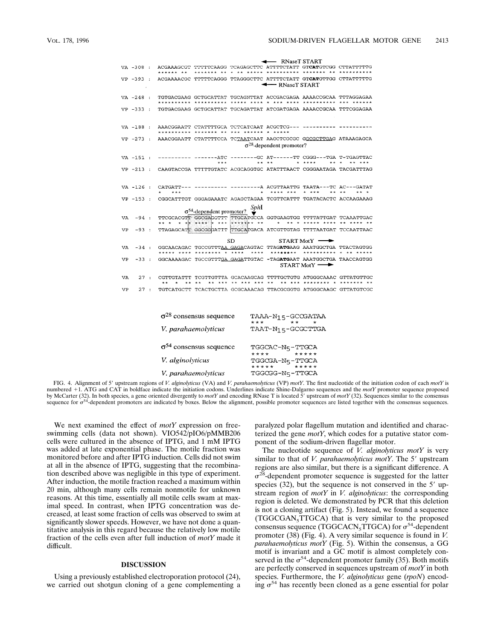- RNaseT START VA -308 : ACGAAAGCGT TTTTTCAAGG TCAGAGCTTC ATTTTTCAAY IS TAATGTCGG CTTATTTTTG ACGAAAACGC TTTTTCAGGG TTAGGGCTTC ATTTTCTATT GTCATGTTGG CTTATTTTTG  $VP - 393 :$ THE RNaseT START VA  $-248$  : TGTGACGAAG GCTGCATTAT TGCAGNTTAT ACCGACGAGA AAAACCGCAA TTTAGGAGAA VP -333 : TGTGACGAAG GCTGCATTAT TGCAGATTAT ATCGATGAGA AAAACCGCAA TTTCGGAGAA AAACGGAATT CTATTTTCCA TCTAATCAAT AAGCTCGCGC GGCGCTTGAG ATAAAGAGCA VP -273 :  $\sigma^{28}$ -dependent promoter?  $\begin{tabular}{lllllllll} \text{VA} & -151 & : & \text{-----} & \text{-----} & \text{---} & \text{---} & \text{---} & \text{---} & \text{---} & \text{---} & \text{---} & \text{---} & \text{---} & \text{---} & \text{---} & \text{---} & \text{---} & \text{---} & \text{---} & \text{---} & \text{---} & \text{---} & \text{---} & \text{---} & \text{---} & \text{---} & \text{---} & \text{---} & \text{---} & \text{---} & \text{---} & \text{---} & \text{---} & \text{---} & \text{$ VP -213 : CAAGTACCGA TTTTTGTATC ACGCAGGTGC ATATTTAACT CGGGAATAGA TACGATTTAG VA -126 : CATGATT--- --------- ----------A ACGTTAATTG TAATA---TC AC---GATAT CGGCATTTGT GGGAGAAATC AGAGCTAGAA TCGTTCATTT TGATACACTC ACCAAGAAAG  $VP - 153$ :  $\sigma^{54}$ -dependent promoter?<br>  $\sum_{n=1}^{\infty}$  $\begin{tabular}{lcccccc} $\sigma^{\text{54}}$-dependent promoter? & $\mathcal{V}^{\text{14}}$ & $\mathcal{V}^{\text{24}}$ & $\mathcal{V}^{\text{24}}$ & $\mathcal{V}^{\text{24}}$ & $\mathcal{V}^{\text{24}}$ & $\mathcal{V}^{\text{24}}$ & $\mathcal{V}^{\text{24}}$ & $\mathcal{V}^{\text{24}}$ & $\mathcal{V}^{\text{24}}$ & $\mathcal{V}^{\text{24}}$ & $\mathcal{V}^{\text{24}}$ & $\mathcal{V}^{\text{24}}$ & $\mathcal{V}^{\text{24}}$ &$ VA  $-94:$ VP  $-93:$ TTAGAGCATT GGCGGGATTT TTGCATGACA ATCGTTGTAG TTTTAATGAT TCCAATTAAC  $\rm SD$  $STARTMotY -$ GGCAACAGAC TGCCGTTTAA GAGACAGTAC TTAGATGAAG AAATGGCTGA TTACTAGTGG VA  $-34:$ \*\*\*\*\* \*\*\*\* \*\*\*\*\*\*\*\* \* \*\*\*\*  $***$ \*\*\*\*\*\*\*\* \*\*\*\*\*\*\*\*\*\* GGCAAAAGAC TGCCGTTT<u>GA GAGA</u>TTGTAC -TAGATGAAT AAATGGCTGA TAACCAGTGG VP  $-33$  : START MotY -VA  $27:$ CGTTGTATTT TCGTTGTTTA GCACAAGCAG TTTTGCTGTG ATGGGCAAAC GTTATGTTGC VP  $27:$ TGTCATGCTT TCACTGCTTA GCGCAAACAG TTACGCGGTG ATGGGCAAGC GTTATGTCGC  $28$  $\overline{m}$  $0002002$ 

| $Q^2$ consensus sequence         | TAAA-N1 5-GCUJATAA<br>$***$<br>$***$ |
|----------------------------------|--------------------------------------|
| V. parahaemolyticus              | TAAT-N15-GCGCTTGA                    |
| $\sigma^{54}$ consensus sequence | TGGCAC-N5-TTGCA<br>**** *****        |
| <i>V. alginolyticus</i>          | TGGCGA-N5-TTGCA<br>***** *****       |
| V. parahaemolyticus              | TGGCGG-N5-TTGCA                      |

FIG. 4. Alignment of 5' upstream regions of *V. alginolyticus* (VA) and *V. parahaemolyticus* (VP) *motY*. The first nucleotide of the initiation codon of each *motY* is numbered +1. ATG and CAT in boldface indicate the initiation codons. Underlines indicate Shine-Dalgarno sequences and the *motY* promoter sequence proposed<br>by McCarter (32). In both species, a gene oriented divergently to sequence for  $\sigma^{54}$ -dependent promoters are indicated by boxes. Below the alignment, possible promoter sequences are listed together with the consensus sequences.

We next examined the effect of *motY* expression on freeswimming cells (data not shown). VIO542/pIO6/pMMB206 cells were cultured in the absence of IPTG, and 1 mM IPTG was added at late exponential phase. The motile fraction was monitored before and after IPTG induction. Cells did not swim at all in the absence of IPTG, suggesting that the recombination described above was negligible in this type of experiment. After induction, the motile fraction reached a maximum within 20 min, although many cells remain nonmotile for unknown reasons. At this time, essentially all motile cells swam at maximal speed. In contrast, when IPTG concentration was decreased, at least some fraction of cells was observed to swim at significantly slower speeds. However, we have not done a quantitative analysis in this regard because the relatively low motile fraction of the cells even after full induction of *motY* made it difficult.

## **DISCUSSION**

Using a previously established electroporation protocol (24), we carried out shotgun cloning of a gene complementing a paralyzed polar flagellum mutation and identified and characterized the gene *motY*, which codes for a putative stator component of the sodium-driven flagellar motor.

The nucleotide sequence of *V. alginolyticus motY* is very similar to that of *V. parahaemolyticus motY*. The 5' upstream regions are also similar, but there is a significant difference. A  $\sigma^{28}$ -dependent promoter sequence is suggested for the latter species  $(32)$ , but the sequence is not conserved in the 5' upstream region of *motY* in *V. alginolyticus*: the corresponding region is deleted. We demonstrated by PCR that this deletion is not a cloning artifact (Fig. 5). Instead, we found a sequence (TGGCGAN5TTGCA) that is very similar to the proposed consensus sequence (TGGCACN<sub>5</sub>TTGCA) for  $\sigma^{54}$ -dependent promoter (38) (Fig. 4). A very similar sequence is found in *V. parahaemolyticus motY* (Fig. 5). Within the consensus, a GG motif is invariant and a GC motif is almost completely conserved in the  $\sigma^{54}$ -dependent promoter family (35). Both motifs are perfectly conserved in sequences upstream of *motY* in both species. Furthermore, the *V. alginolyticus* gene (*rpoN*) encoding  $\sigma^{54}$  has recently been cloned as a gene essential for polar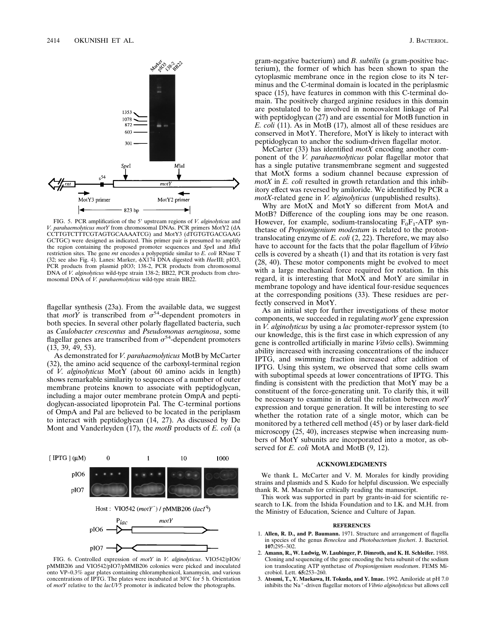

FIG. 5. PCR amplification of the 5' upstream regions of *V. alginolyticus* and *V. parahaemolyticus motY* from chromosomal DNAs. PCR primers MotY2 (dA CCTTGTCTTTCGTAGTGCAAAATCG) and MotY3 (dTGTGTGACGAAG GCTGC) were designed as indicated. This primer pair is presumed to amplify the region containing the proposed promoter sequences and *Spe*I and *Mlu*I restriction sites. The gene *rnt* encodes a polypeptide similar to *E. coli* RNase T (32; see also Fig. 4). Lanes: Marker,  $\phi$ X174 DNA digested with *HaeIII*; pIO3, PCR products from plasmid pIO3; 138-2, PCR products from chromosomal DNA of *V. alginolyticus* wild-type strain 138-2; BB22, PCR products from chromosomal DNA of *V. parahaemolyticus* wild-type strain BB22.

flagellar synthesis (23a). From the available data, we suggest that *motY* is transcribed from  $\sigma^{54}$ -dependent promoters in both species. In several other polarly flagellated bacteria, such as *Caulobacter crescentus* and *Pseudomonas aeruginosa*, some flagellar genes are transcribed from  $\sigma^{54}$ -dependent promoters (13, 39, 49, 53).

As demonstrated for *V. parahaemolyticus* MotB by McCarter (32), the amino acid sequence of the carboxyl-terminal region of *V. alginolyticus* MotY (about 60 amino acids in length) shows remarkable similarity to sequences of a number of outer membrane proteins known to associate with peptidoglycan, including a major outer membrane protein OmpA and peptidoglycan-associated lipoprotein Pal. The C-terminal portions of OmpA and Pal are believed to be located in the periplasm to interact with peptidoglycan (14, 27). As discussed by De Mont and Vanderleyden (17), the *motB* products of *E. coli* (a



FIG. 6. Controlled expression of *motY* in *V. alginolyticus*. VIO542/pIO6/ pMMB206 and VIO542/pIO7/pMMB206 colonies were picked and inoculated onto VP–0.3% agar plates containing chloramphenicol, kanamycin, and various concentrations of IPTG. The plates were incubated at 30°C for 5 h. Orientation of *motY* relative to the *lacUV5* promoter is indicated below the photographs.

gram-negative bacterium) and *B. subtilis* (a gram-positive bacterium), the former of which has been shown to span the cytoplasmic membrane once in the region close to its N terminus and the C-terminal domain is located in the periplasmic space (15), have features in common with this C-terminal domain. The positively charged arginine residues in this domain are postulated to be involved in noncovalent linkage of Pal with peptidoglycan (27) and are essential for MotB function in *E. coli* (11). As in MotB (17), almost all of these residues are conserved in MotY. Therefore, MotY is likely to interact with peptidoglycan to anchor the sodium-driven flagellar motor.

McCarter (33) has identified *motX* encoding another component of the *V. parahaemolyticus* polar flagellar motor that has a single putative transmembrane segment and suggested that MotX forms a sodium channel because expression of *motX* in *E. coli* resulted in growth retardation and this inhibitory effect was reversed by amiloride. We identified by PCR a *motX*-related gene in *V. alginolyticus* (unpublished results).

Why are MotX and MotY so different from MotA and MotB? Difference of the coupling ions may be one reason. However, for example, sodium-translocating  $F_0F_1$ -ATP synthetase of *Propionigenium modestum* is related to the protontranslocating enzyme of *E. coli* (2, 22). Therefore, we may also have to account for the facts that the polar flagellum of *Vibrio* cells is covered by a sheath (1) and that its rotation is very fast (28, 40). These motor components might be evolved to meet with a large mechanical force required for rotation. In this regard, it is interesting that MotX and MotY are similar in membrane topology and have identical four-residue sequences at the corresponding positions (33). These residues are perfectly conserved in MotY.

As an initial step for further investigations of these motor components, we succeeded in regulating *motY* gene expression in *V. alginolyticus* by using a *lac* promoter-repressor system (to our knowledge, this is the first case in which expression of any gene is controlled artificially in marine *Vibrio* cells). Swimming ability increased with increasing concentrations of the inducer IPTG, and swimming fraction increased after addition of IPTG. Using this system, we observed that some cells swam with suboptimal speeds at lower concentrations of IPTG. This finding is consistent with the prediction that MotY may be a constituent of the force-generating unit. To clarify this, it will be necessary to examine in detail the relation between *motY* expression and torque generation. It will be interesting to see whether the rotation rate of a single motor, which can be monitored by a tethered cell method (45) or by laser dark-field microscopy (25, 40), increases stepwise when increasing numbers of MotY subunits are incorporated into a motor, as observed for *E. coli* MotA and MotB (9, 12).

### **ACKNOWLEDGMENTS**

We thank L. McCarter and V. M. Morales for kindly providing strains and plasmids and S. Kudo for helpful discussion. We especially thank R. M. Macnab for critically reading the manuscript.

This work was supported in part by grants-in-aid for scientific research to I.K. from the Ishida Foundation and to I.K. and M.H. from the Ministry of Education, Science and Culture of Japan.

#### **REFERENCES**

- 1. **Allen, R. D., and P. Baumann.** 1971. Structure and arrangement of flagella in species of the genus *Beneckea* and *Photobacterium fischeri*. J. Bacteriol. **107:**295–302.
- 2. **Amann, R., W. Ludwig, W. Laubinger, P. Dimroth, and K. H. Schleifer.** 1988. Cloning and sequencing of the gene encoding the beta subunit of the sodium ion translocating ATP synthetase of *Propionigenium modestum*. FEMS Microbiol. Lett. **65:**253–260.
- 3. **Atsumi, T., Y. Maekawa, H. Tokuda, and Y. Imae.** 1992. Amiloride at pH 7.0 inhibits the Na<sup>+</sup>-driven flagellar motors of *Vibrio alginolyticus* but allows cell